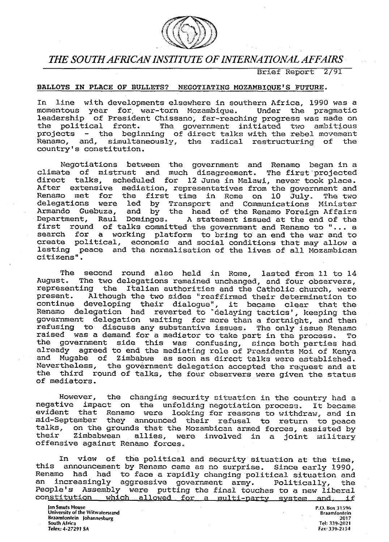

# *THE SOUTH AFRICAN INSTITUTE OF INTERNATIONAL AFFAIRS*

Brief Report 2/31

# BALLOTS IN PLRCE OF BULLETS? NEGOTIATING MOZAMBIQUE'S FUTURE.

In line with developments elsewhere in southern Africa, 1990 was a momentous year for, war-torn Mozambique. leadership of President Chissano, far-reaching progress was made on<br>the political front. The government initiated two ambitious The government initiated two ambitious projects - the beginning of direct talks with the rebel movement Renamo, and, simultaneously, the radical restructuring of the country's constitution.

Negotiations between the government and Renamo began in a climate of mistrust and much disagreement. The first projected direct talks, scheduled for 12 June in Malawi, never took place. After extensive mediation, representatives from the government and<br>Renamo met for the first time in Rome on 10 July. The two Renamo met for the first time in Rome on 10 July.<br>delegations were led by Transport and Communications delegations were led by Transport and Communications Minister<br>Armando Guebuza, and by the head of the Renamo Foreign Affairs and by the head of the Renamo Foreign Affairs Department, Raul Domingos, A statement issued at the end of the first round of talks committed the government and Renamo to "... a search for a working platform to bring to an end the war and to create political, economic and social conditions that may allow a lasting peace and the normalisation of the lives of all Mozambican citizens",

The second round also held in Rome, lasted from 11 to 14 August. The two delegations remained unchanged, and four observers, representing the Italian authorities and the Catholic church, were<br>present. Although the two sides "reaffirmed their determination to present. Although the two sides "reaffirmed their determination to continue developing their dialogue", it became clear that the Renamo delegation had reverted to delaying tactics', keeping the government delegation waiting for more than a fortnight, and then refusing to discuss any substantive issues. The only issue Renamo raised was a demand for a mediator to take part in the process. To the government side this was confusing, since both parties had already agreed to end the mediating role of Presidents Moi of Kenya and Mugabe of Zimbabwe as soon as direct talks were established. Nevertheless, the government delegation accepted the request and at the third round of talks, the four observers were given the status of mediators.

However, the changing security situation in the country had a negative impact on the unfolding negotiation process. It became evident that Renamo were looking for reasons to withdraw, and in mid-September they announced their refusal to return to peace talks, on the grounds that the Mozambican armed forces, assisted by their zimbabwean allies, were involved in a joint military allies, were involved in a joint military offensive against Renamo forces.

In view of the political and security situation at the time, this announcement by Renamo came as no surprise. Since early 1990, Renamo had had to face a rapidly changing political situation and<br>an increasingly aggressive government army, Politically the increasingly aggressive government army. Politically, the People's Assembly were putting the final touches to a new liberal constitution which allowed for a multi-party system and. if which allowed for a multi-party system and, if

**Ian Smuts House P.O. Box 31**596 **University of the Witwatersrand Braamfontein Braamfontein Johannesburg** 2017 **South Africa Tel: 339-2021 Telex: 4-27291 SA** Fax: 339-2154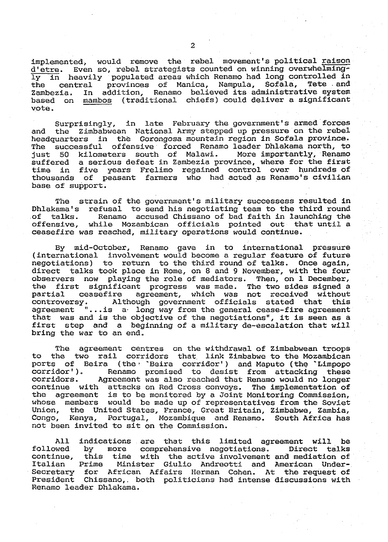implemented, would remove the rebel movement's political raison d'etre. Even so, rebel strategists counted on winning overwhelmingly in heavily populated areas which Renamo had long controlled in the central provinces of Manica, Nampula, Sofala, Tete and Zambezia. In addition, Renamo believed its administrative system based on mambos (traditional chiefs) could deliver a significant vote.

Surprisingly, in late February the government's armed forces and the Zimbabwean National Army stepped up pressure on the rebel headquarters in the Gorongosa mountain region in Sofala province. The successful offensive forced Renamo leader Dhlakama north, to<br>just 50 kilometers south of Malawi. More importantly, Renamo just 50 kilometers south of Malawi. suffered a serious defeat in Zambezia province, where for the first time in five years Frelimo regained control over hundreds of thousands of peasant farmers who had acted as Renamo's civilian base of support.

The strain of the government's military successess resulted in Dhlakama's refusal to send his negotiating team to the third round of talks. Renamo accused Chissano of bad faith in launching the offensive, while Mozambican officials pointed out that until a ceasefire was reached, military operations would continue.

By mid-October, Renamo gave in to international pressure (international involvement would become a regular feature of future negotiations) to return to the third round of talks. Once again, direct talks took place in Rome, on 8 and 9 November, with the four observers now playing the role of mediators. Then, on 1 December, the first significant progress was made. The two sides signed a partial ceasefire agreement, which was not received without Although government officials stated that this agreement "...is a long way from the general cease-fire agreement that was and is the objective of the negotiations", it is seen as a first step and a beginning of a military de-escalation that will bring the war to an end.

The agreement centres on the withdrawal of Zimbabwean troops to the two rail corridors that, link Zimbabwe to the Mozambican ports of Beira (the 'Beira corridor') and Maputo (the 'Limpopo corridor'). Renamo promised to desist from attacking these corridor')» Renamo promised to desist from attacking these corridors. Agreement was also reached that Renamo would no longer continue with attacks on Red Cross convoys. The implementation of the agreement is to be monitored by a Joint Monitoring Commission, whose members would be made up of representatives from the Soviet Union, the United States, France, Great Britain, Zimbabwe, Zambia, Congo, Kenya, Portugal, Mozambique and Renamo. South Africa has not been invited to sit on the Commission.

All indications are that this limited agreement will be followed by more comprehensive negotiations. Direct talks followed by more comprehensive negotiations. Direct talks continue, this time with the active involvement and mediation of Italian Prime Minister Giulio Andreotti and American Undersecretary for African Affairs Herman Cohen. At the request of President Chissano,. both politicians had intense discussions with Renamo leader Dhlakama.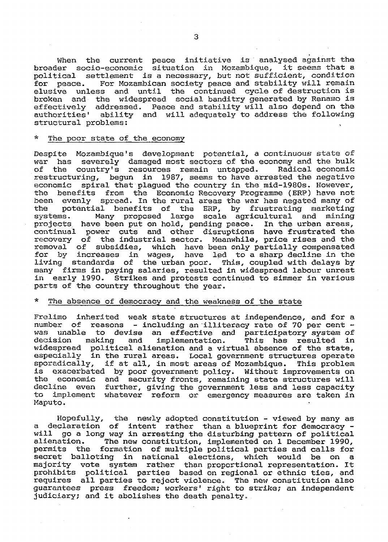When the current peace initiative is analysed against the broader socio-economic situation in Mozambique, it seems that a political settlement is a necessary, but not sufficient, condition for peace. For Mozambican society peace and stability will remain elusive unless and until the continued cycle of destruction is broken and the widespread social banditry generated by Renamo is effectively addressed. Peace and stability will also depend on the authorities' ability and will adequately to address the following structural problems:

## \* The poor state of the economy

Despite Mozambique's development potential, a continuous state of war has severely damaged most sectors of the economy and the bulk of the country's resources remain untapped. Radical economic restructuring, begun in 1987, seems to have arrested the negative economic spiral that plagued the country in the mid-1980s. However, the benefits from the Economic Recovery Programme (ERP) have not been evenly spread. In the rural areas the war has negated many of the potential benefits of the ERP, by frustrating marketing systems. Many proposed large scale agricultural and mining projects have been put on hold, pending peace. In the urban areas, continual power cuts and other disruptions have frustrated the recovery of the industrial sector. Meanwhile, price rises and the removal of subsidies, which have been only partially compensated for by increases in wages, have led to a sharp decline in the living standards of the urban poor. This, coupled with delays by many firms in paying salaries, resulted in widespread labour unrest in early 1990. Strikes and protests continued to simmer in various parts of the country throughout the year.

### The absence of democracy and the weakness of the state

Frelimo inherited weak state structures at independence, and for a number of reasons - including an illiteracy rate of 70 per cent was unable to devise an effective and participatory system of decision making and implementation. This has resulted in decision making and implementation. This has resulted in widespread political alienation and a virtual absence of the state, especially in the rural areas. Local government structures operate<br>sporadically, if at all, in most areas of Mozambique. This problem if at all, in most areas of Mozambique. This problem is exacerbated by poor government policy. Without improvements on the economic and security fronts, remaining state structures will decline even further, giving the government less and less capacity to implement whatever reform or emergency measures are taken in Maputo.

Hopefully, the newly adopted constitution - viewed by many as a declaration of intent rather than a blueprint for democracy will go a long way in arresting the disturbing pattern of political<br>alienation. The new constitution, implemented on 1 December 1990, The new constitution, implemented on 1 December 1990, permits the formation of multiple political parties and calls for<br>secret balloting in national elections, which would be on a in national elections, which would be on a majority vote system rather than proportional representation. It prohibits political parties based on regional or ethnic ties, and requires all parties to reject violence. The new constitution also expressed that pursues to reject vicioneer into now concertation and judiciary; and it abolishes the death penalty.